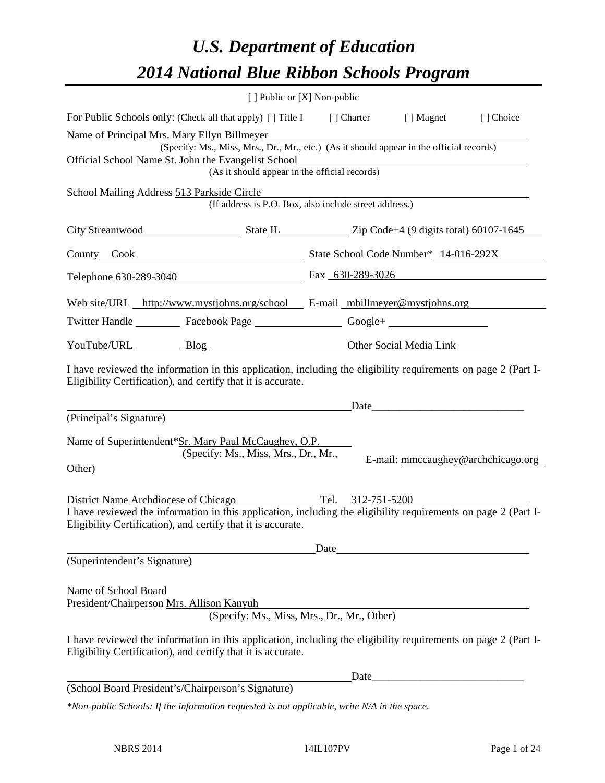# *U.S. Department of Education 2014 National Blue Ribbon Schools Program*

|                                                                   |                                                                                                                                                                                                                                          | [ ] Public or [X] Non-public |      |                                    |
|-------------------------------------------------------------------|------------------------------------------------------------------------------------------------------------------------------------------------------------------------------------------------------------------------------------------|------------------------------|------|------------------------------------|
|                                                                   | For Public Schools only: (Check all that apply) [] Title I [] Charter [] Magnet                                                                                                                                                          |                              |      | [] Choice                          |
|                                                                   | Name of Principal Mrs. Mary Ellyn Billmeyer<br>(Specify: Ms., Miss, Mrs., Dr., Mr., etc.) (As it should appear in the official records)                                                                                                  |                              |      |                                    |
|                                                                   | Official School Name St. John the Evangelist School                                                                                                                                                                                      |                              |      |                                    |
|                                                                   | (As it should appear in the official records)                                                                                                                                                                                            |                              |      |                                    |
| School Mailing Address 513 Parkside Circle                        | (If address is P.O. Box, also include street address.)                                                                                                                                                                                   |                              |      |                                    |
|                                                                   | City Streamwood State IL Zip Code+4 (9 digits total) 60107-1645                                                                                                                                                                          |                              |      |                                    |
|                                                                   | County Cook County Cook State School Code Number* 14-016-292X                                                                                                                                                                            |                              |      |                                    |
|                                                                   | Telephone 630-289-3040 Fax 630-289-3026                                                                                                                                                                                                  |                              |      |                                    |
|                                                                   | Web site/URL http://www.mystjohns.org/school E-mail mbillmeyer@mystjohns.org                                                                                                                                                             |                              |      |                                    |
|                                                                   | Twitter Handle ___________ Facebook Page ___________________ Google+ ____________                                                                                                                                                        |                              |      |                                    |
|                                                                   | YouTube/URL Blog Blog Cher Social Media Link                                                                                                                                                                                             |                              |      |                                    |
|                                                                   | I have reviewed the information in this application, including the eligibility requirements on page 2 (Part I-<br>Eligibility Certification), and certify that it is accurate.                                                           |                              |      |                                    |
|                                                                   |                                                                                                                                                                                                                                          |                              | Date |                                    |
| (Principal's Signature)                                           |                                                                                                                                                                                                                                          |                              |      |                                    |
|                                                                   | Name of Superintendent*Sr. Mary Paul McCaughey, O.P.<br>(Specify: Ms., Miss, Mrs., Dr., Mr.,                                                                                                                                             |                              |      |                                    |
| Other)                                                            |                                                                                                                                                                                                                                          |                              |      | E-mail: mmccaughey@archchicago.org |
|                                                                   | District Name Archdiocese of Chicago Tel. 312-751-5200<br>I have reviewed the information in this application, including the eligibility requirements on page 2 (Part I-<br>Eligibility Certification), and certify that it is accurate. |                              |      |                                    |
|                                                                   |                                                                                                                                                                                                                                          | Date                         |      |                                    |
| (Superintendent's Signature)                                      |                                                                                                                                                                                                                                          |                              |      |                                    |
| Name of School Board<br>President/Chairperson Mrs. Allison Kanyuh | (Specify: Ms., Miss, Mrs., Dr., Mr., Other)                                                                                                                                                                                              |                              |      |                                    |
|                                                                   | I have reviewed the information in this application, including the eligibility requirements on page 2 (Part I-<br>Eligibility Certification), and certify that it is accurate.                                                           |                              |      |                                    |
|                                                                   |                                                                                                                                                                                                                                          |                              |      |                                    |
|                                                                   | (School Board President's/Chairperson's Signature)                                                                                                                                                                                       |                              |      |                                    |
|                                                                   | *Non-public Schools: If the information requested is not applicable, write N/A in the space.                                                                                                                                             |                              |      |                                    |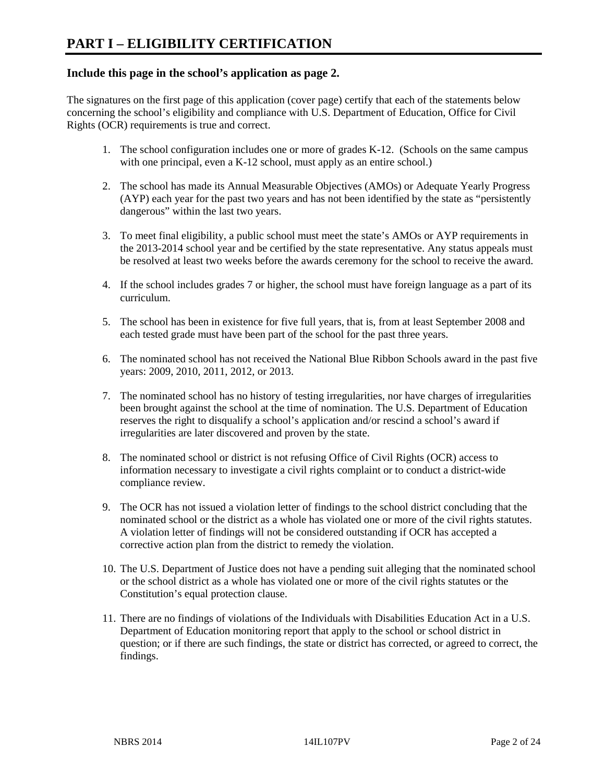## **Include this page in the school's application as page 2.**

The signatures on the first page of this application (cover page) certify that each of the statements below concerning the school's eligibility and compliance with U.S. Department of Education, Office for Civil Rights (OCR) requirements is true and correct.

- 1. The school configuration includes one or more of grades K-12. (Schools on the same campus with one principal, even a K-12 school, must apply as an entire school.)
- 2. The school has made its Annual Measurable Objectives (AMOs) or Adequate Yearly Progress (AYP) each year for the past two years and has not been identified by the state as "persistently dangerous" within the last two years.
- 3. To meet final eligibility, a public school must meet the state's AMOs or AYP requirements in the 2013-2014 school year and be certified by the state representative. Any status appeals must be resolved at least two weeks before the awards ceremony for the school to receive the award.
- 4. If the school includes grades 7 or higher, the school must have foreign language as a part of its curriculum.
- 5. The school has been in existence for five full years, that is, from at least September 2008 and each tested grade must have been part of the school for the past three years.
- 6. The nominated school has not received the National Blue Ribbon Schools award in the past five years: 2009, 2010, 2011, 2012, or 2013.
- 7. The nominated school has no history of testing irregularities, nor have charges of irregularities been brought against the school at the time of nomination. The U.S. Department of Education reserves the right to disqualify a school's application and/or rescind a school's award if irregularities are later discovered and proven by the state.
- 8. The nominated school or district is not refusing Office of Civil Rights (OCR) access to information necessary to investigate a civil rights complaint or to conduct a district-wide compliance review.
- 9. The OCR has not issued a violation letter of findings to the school district concluding that the nominated school or the district as a whole has violated one or more of the civil rights statutes. A violation letter of findings will not be considered outstanding if OCR has accepted a corrective action plan from the district to remedy the violation.
- 10. The U.S. Department of Justice does not have a pending suit alleging that the nominated school or the school district as a whole has violated one or more of the civil rights statutes or the Constitution's equal protection clause.
- 11. There are no findings of violations of the Individuals with Disabilities Education Act in a U.S. Department of Education monitoring report that apply to the school or school district in question; or if there are such findings, the state or district has corrected, or agreed to correct, the findings.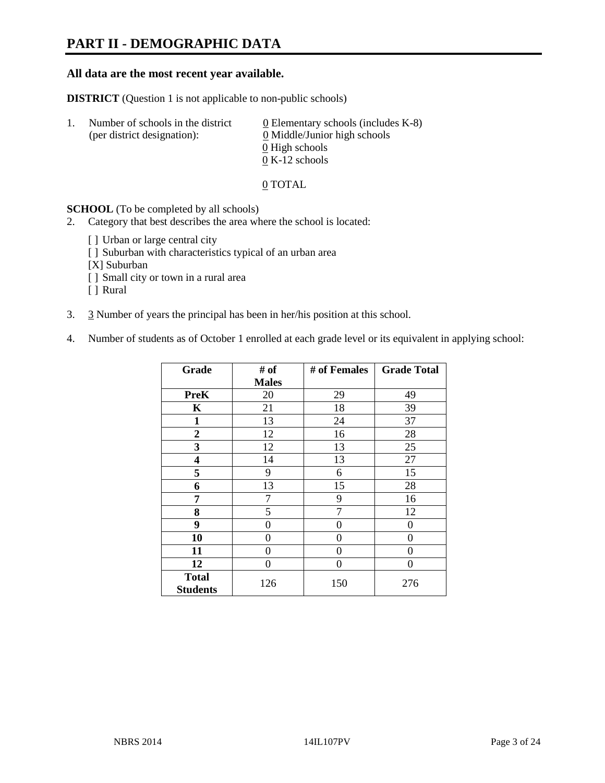# **PART II - DEMOGRAPHIC DATA**

#### **All data are the most recent year available.**

**DISTRICT** (Question 1 is not applicable to non-public schools)

| -1. | Number of schools in the district<br>(per district designation): | 0 Elementary schools (includes $K-8$ )<br>0 Middle/Junior high schools |  |
|-----|------------------------------------------------------------------|------------------------------------------------------------------------|--|
|     |                                                                  | 0 High schools                                                         |  |
|     |                                                                  | $0 K-12$ schools                                                       |  |

#### 0 TOTAL

#### **SCHOOL** (To be completed by all schools)

- 2. Category that best describes the area where the school is located:
	- [] Urban or large central city
	- [] Suburban with characteristics typical of an urban area
	- [X] Suburban
	- [ ] Small city or town in a rural area
	- [ ] Rural
- 3. 3 Number of years the principal has been in her/his position at this school.
- 4. Number of students as of October 1 enrolled at each grade level or its equivalent in applying school:

| Grade                           | # of         | # of Females | <b>Grade Total</b> |
|---------------------------------|--------------|--------------|--------------------|
|                                 | <b>Males</b> |              |                    |
| <b>PreK</b>                     | 20           | 29           | 49                 |
| K                               | 21           | 18           | 39                 |
| $\mathbf{1}$                    | 13           | 24           | 37                 |
| $\overline{2}$                  | 12           | 16           | 28                 |
| 3                               | 12           | 13           | 25                 |
| 4                               | 14           | 13           | 27                 |
| 5                               | 9            | 6            | 15                 |
| 6                               | 13           | 15           | 28                 |
| 7                               | 7            | 9            | 16                 |
| 8                               | 5            | 7            | 12                 |
| 9                               | 0            | 0            | 0                  |
| 10                              | 0            | 0            | 0                  |
| 11                              | 0            | 0            | 0                  |
| 12                              | 0            | $\theta$     | 0                  |
| <b>Total</b><br><b>Students</b> | 126          | 150          | 276                |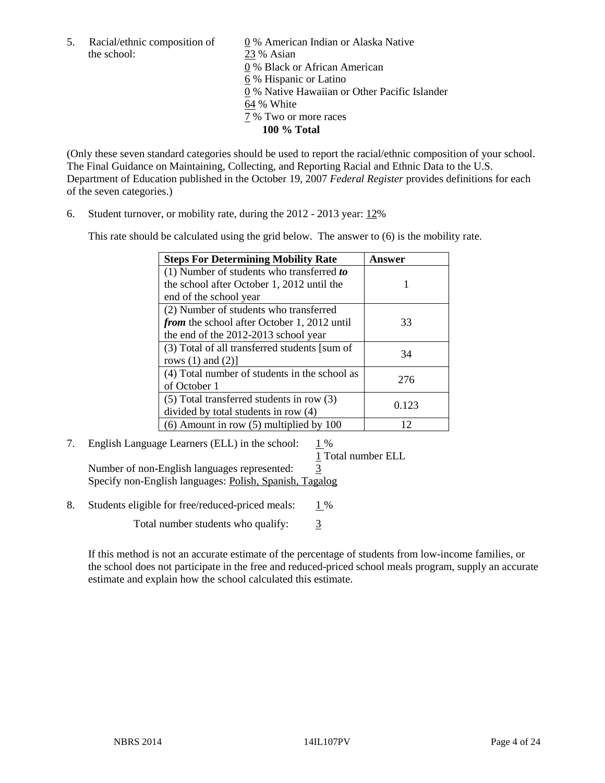the school: 23 % Asian

5. Racial/ethnic composition of  $\qquad \qquad \underline{0}$  % American Indian or Alaska Native 0 % Black or African American 6 % Hispanic or Latino 0 % Native Hawaiian or Other Pacific Islander 64 % White 7 % Two or more races **100 % Total** 

(Only these seven standard categories should be used to report the racial/ethnic composition of your school. The Final Guidance on Maintaining, Collecting, and Reporting Racial and Ethnic Data to the U.S. Department of Education published in the October 19, 2007 *Federal Register* provides definitions for each of the seven categories.)

6. Student turnover, or mobility rate, during the 2012 - 2013 year: 12%

This rate should be calculated using the grid below. The answer to (6) is the mobility rate.

| <b>Steps For Determining Mobility Rate</b>         | Answer |
|----------------------------------------------------|--------|
| (1) Number of students who transferred to          |        |
| the school after October 1, 2012 until the         |        |
| end of the school year                             |        |
| (2) Number of students who transferred             |        |
| <i>from</i> the school after October 1, 2012 until | 33     |
| the end of the 2012-2013 school year               |        |
| (3) Total of all transferred students [sum of      | 34     |
| rows $(1)$ and $(2)$ ]                             |        |
| (4) Total number of students in the school as      | 276    |
| of October 1                                       |        |
| $(5)$ Total transferred students in row $(3)$      | 0.123  |
| divided by total students in row (4)               |        |
| $(6)$ Amount in row $(5)$ multiplied by 100        | 12     |

# 7. English Language Learners (ELL) in the school: 1 %

1 Total number ELL

Number of non-English languages represented: 3 Specify non-English languages: Polish, Spanish, Tagalog

8. Students eligible for free/reduced-priced meals:  $1\%$ 

Total number students who qualify:  $\frac{3}{5}$ 

If this method is not an accurate estimate of the percentage of students from low-income families, or the school does not participate in the free and reduced-priced school meals program, supply an accurate estimate and explain how the school calculated this estimate.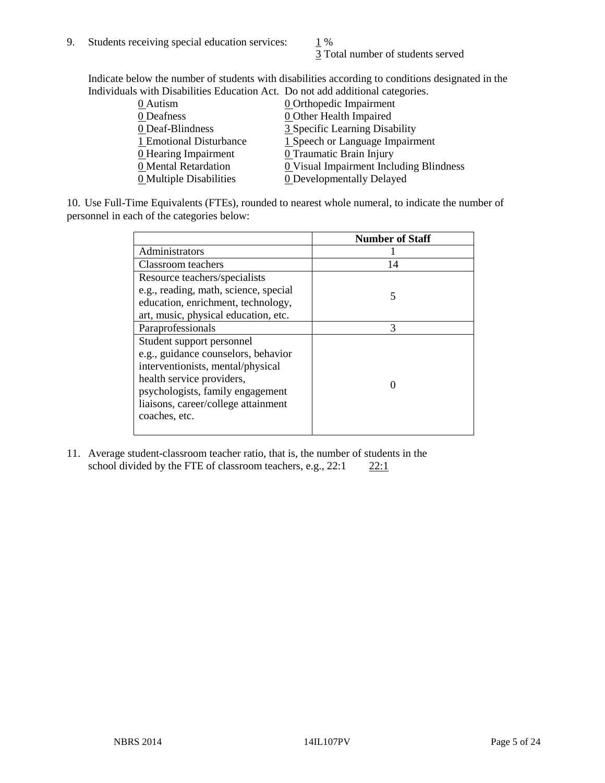3 Total number of students served

Indicate below the number of students with disabilities according to conditions designated in the Individuals with Disabilities Education Act. Do not add additional categories.

| marvianas with Disabilities Education rict. Do not add additional categories. |                                         |
|-------------------------------------------------------------------------------|-----------------------------------------|
| 0 Autism                                                                      | <b>0</b> Orthopedic Impairment          |
| 0 Deafness                                                                    | 0 Other Health Impaired                 |
| 0 Deaf-Blindness                                                              | 3 Specific Learning Disability          |
| 1 Emotional Disturbance                                                       | 1 Speech or Language Impairment         |
| 0 Hearing Impairment                                                          | 0 Traumatic Brain Injury                |
| 0 Mental Retardation                                                          | 0 Visual Impairment Including Blindness |
| 0 Multiple Disabilities                                                       | <b>0</b> Developmentally Delayed        |
|                                                                               |                                         |

10. Use Full-Time Equivalents (FTEs), rounded to nearest whole numeral, to indicate the number of personnel in each of the categories below:

|                                       | <b>Number of Staff</b> |
|---------------------------------------|------------------------|
| Administrators                        |                        |
| Classroom teachers                    | 14                     |
| Resource teachers/specialists         |                        |
| e.g., reading, math, science, special | 5                      |
| education, enrichment, technology,    |                        |
| art, music, physical education, etc.  |                        |
| Paraprofessionals                     | 3                      |
| Student support personnel             |                        |
| e.g., guidance counselors, behavior   |                        |
| interventionists, mental/physical     |                        |
| health service providers,             |                        |
| psychologists, family engagement      |                        |
| liaisons, career/college attainment   |                        |
| coaches, etc.                         |                        |
|                                       |                        |

11. Average student-classroom teacher ratio, that is, the number of students in the school divided by the FTE of classroom teachers, e.g.,  $22:1$   $22:1$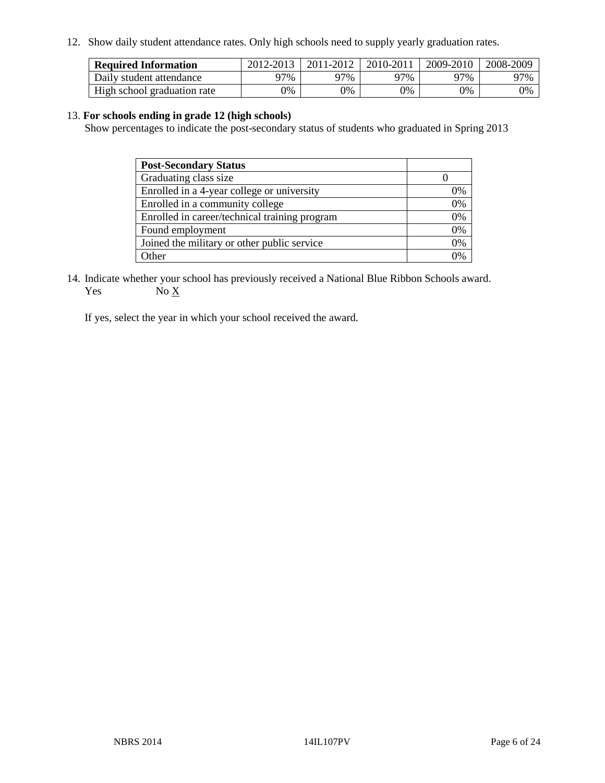12. Show daily student attendance rates. Only high schools need to supply yearly graduation rates.

| <b>Required Information</b> | 2012-2013 | 2011-2012 | 2010-2011 | 2009-2010 | 2008-2009 |
|-----------------------------|-----------|-----------|-----------|-----------|-----------|
| Daily student attendance    | 97%       | 97%       | 97%       | 97%       | 97%       |
| High school graduation rate | 0%        | 0%        | 0%        | 0%        | 0%        |

#### 13. **For schools ending in grade 12 (high schools)**

Show percentages to indicate the post-secondary status of students who graduated in Spring 2013

| <b>Post-Secondary Status</b>                  |            |
|-----------------------------------------------|------------|
| Graduating class size                         |            |
| Enrolled in a 4-year college or university    | 0%         |
| Enrolled in a community college               | 0%         |
| Enrolled in career/technical training program | 0%         |
| Found employment                              | 0%         |
| Joined the military or other public service   | 0%         |
| <b>Other</b>                                  | $\gamma$ % |

14. Indicate whether your school has previously received a National Blue Ribbon Schools award. Yes  $No \underline{X}$ 

If yes, select the year in which your school received the award.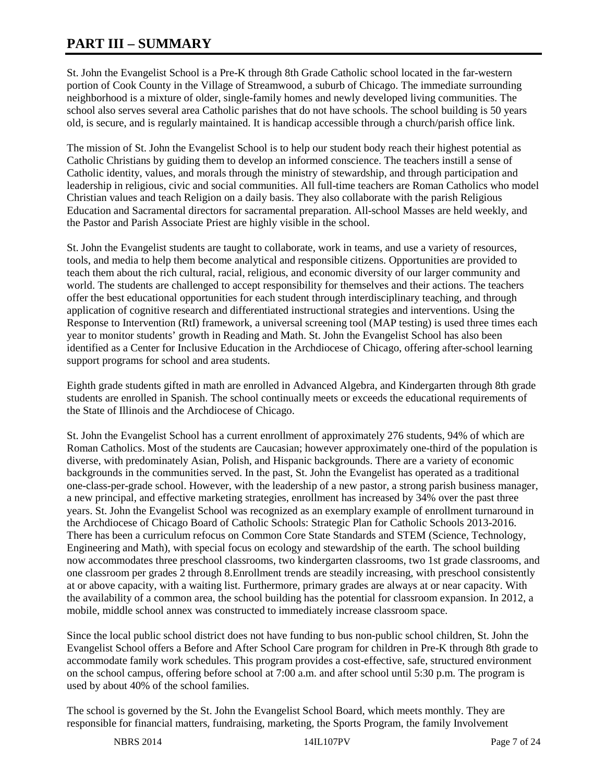# **PART III – SUMMARY**

St. John the Evangelist School is a Pre-K through 8th Grade Catholic school located in the far-western portion of Cook County in the Village of Streamwood, a suburb of Chicago. The immediate surrounding neighborhood is a mixture of older, single-family homes and newly developed living communities. The school also serves several area Catholic parishes that do not have schools. The school building is 50 years old, is secure, and is regularly maintained. It is handicap accessible through a church/parish office link.

The mission of St. John the Evangelist School is to help our student body reach their highest potential as Catholic Christians by guiding them to develop an informed conscience. The teachers instill a sense of Catholic identity, values, and morals through the ministry of stewardship, and through participation and leadership in religious, civic and social communities. All full-time teachers are Roman Catholics who model Christian values and teach Religion on a daily basis. They also collaborate with the parish Religious Education and Sacramental directors for sacramental preparation. All-school Masses are held weekly, and the Pastor and Parish Associate Priest are highly visible in the school.

St. John the Evangelist students are taught to collaborate, work in teams, and use a variety of resources, tools, and media to help them become analytical and responsible citizens. Opportunities are provided to teach them about the rich cultural, racial, religious, and economic diversity of our larger community and world. The students are challenged to accept responsibility for themselves and their actions. The teachers offer the best educational opportunities for each student through interdisciplinary teaching, and through application of cognitive research and differentiated instructional strategies and interventions. Using the Response to Intervention (RtI) framework, a universal screening tool (MAP testing) is used three times each year to monitor students' growth in Reading and Math. St. John the Evangelist School has also been identified as a Center for Inclusive Education in the Archdiocese of Chicago, offering after-school learning support programs for school and area students.

Eighth grade students gifted in math are enrolled in Advanced Algebra, and Kindergarten through 8th grade students are enrolled in Spanish. The school continually meets or exceeds the educational requirements of the State of Illinois and the Archdiocese of Chicago.

St. John the Evangelist School has a current enrollment of approximately 276 students, 94% of which are Roman Catholics. Most of the students are Caucasian; however approximately one-third of the population is diverse, with predominately Asian, Polish, and Hispanic backgrounds. There are a variety of economic backgrounds in the communities served. In the past, St. John the Evangelist has operated as a traditional one-class-per-grade school. However, with the leadership of a new pastor, a strong parish business manager, a new principal, and effective marketing strategies, enrollment has increased by 34% over the past three years. St. John the Evangelist School was recognized as an exemplary example of enrollment turnaround in the Archdiocese of Chicago Board of Catholic Schools: Strategic Plan for Catholic Schools 2013-2016. There has been a curriculum refocus on Common Core State Standards and STEM (Science, Technology, Engineering and Math), with special focus on ecology and stewardship of the earth. The school building now accommodates three preschool classrooms, two kindergarten classrooms, two 1st grade classrooms, and one classroom per grades 2 through 8.Enrollment trends are steadily increasing, with preschool consistently at or above capacity, with a waiting list. Furthermore, primary grades are always at or near capacity. With the availability of a common area, the school building has the potential for classroom expansion. In 2012, a mobile, middle school annex was constructed to immediately increase classroom space.

Since the local public school district does not have funding to bus non-public school children, St. John the Evangelist School offers a Before and After School Care program for children in Pre-K through 8th grade to accommodate family work schedules. This program provides a cost-effective, safe, structured environment on the school campus, offering before school at 7:00 a.m. and after school until 5:30 p.m. The program is used by about 40% of the school families.

The school is governed by the St. John the Evangelist School Board, which meets monthly. They are responsible for financial matters, fundraising, marketing, the Sports Program, the family Involvement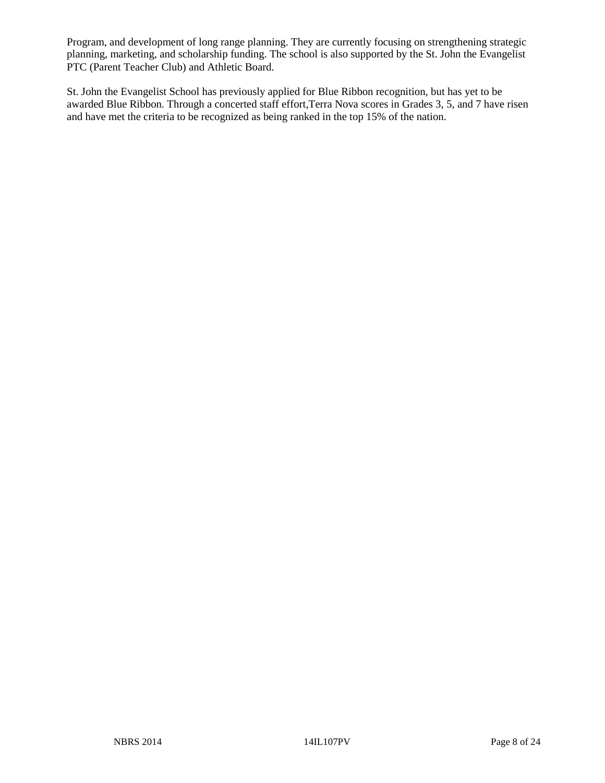Program, and development of long range planning. They are currently focusing on strengthening strategic planning, marketing, and scholarship funding. The school is also supported by the St. John the Evangelist PTC (Parent Teacher Club) and Athletic Board.

St. John the Evangelist School has previously applied for Blue Ribbon recognition, but has yet to be awarded Blue Ribbon. Through a concerted staff effort,Terra Nova scores in Grades 3, 5, and 7 have risen and have met the criteria to be recognized as being ranked in the top 15% of the nation.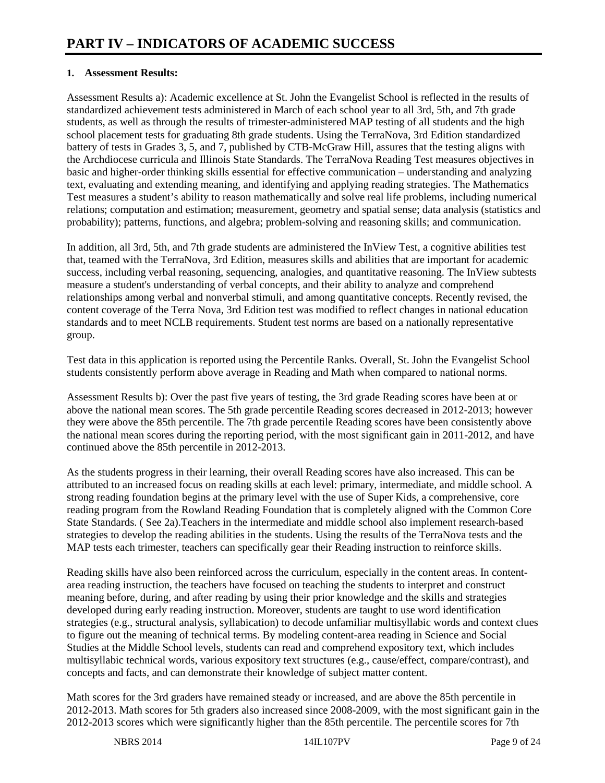### **1. Assessment Results:**

Assessment Results a): Academic excellence at St. John the Evangelist School is reflected in the results of standardized achievement tests administered in March of each school year to all 3rd, 5th, and 7th grade students, as well as through the results of trimester-administered MAP testing of all students and the high school placement tests for graduating 8th grade students. Using the TerraNova, 3rd Edition standardized battery of tests in Grades 3, 5, and 7, published by CTB-McGraw Hill, assures that the testing aligns with the Archdiocese curricula and Illinois State Standards. The TerraNova Reading Test measures objectives in basic and higher-order thinking skills essential for effective communication – understanding and analyzing text, evaluating and extending meaning, and identifying and applying reading strategies. The Mathematics Test measures a student's ability to reason mathematically and solve real life problems, including numerical relations; computation and estimation; measurement, geometry and spatial sense; data analysis (statistics and probability); patterns, functions, and algebra; problem-solving and reasoning skills; and communication.

In addition, all 3rd, 5th, and 7th grade students are administered the InView Test, a cognitive abilities test that, teamed with the TerraNova, 3rd Edition, measures skills and abilities that are important for academic success, including verbal reasoning, sequencing, analogies, and quantitative reasoning. The InView subtests measure a student's understanding of verbal concepts, and their ability to analyze and comprehend relationships among verbal and nonverbal stimuli, and among quantitative concepts. Recently revised, the content coverage of the Terra Nova, 3rd Edition test was modified to reflect changes in national education standards and to meet NCLB requirements. Student test norms are based on a nationally representative group.

Test data in this application is reported using the Percentile Ranks. Overall, St. John the Evangelist School students consistently perform above average in Reading and Math when compared to national norms.

Assessment Results b): Over the past five years of testing, the 3rd grade Reading scores have been at or above the national mean scores. The 5th grade percentile Reading scores decreased in 2012-2013; however they were above the 85th percentile. The 7th grade percentile Reading scores have been consistently above the national mean scores during the reporting period, with the most significant gain in 2011-2012, and have continued above the 85th percentile in 2012-2013.

As the students progress in their learning, their overall Reading scores have also increased. This can be attributed to an increased focus on reading skills at each level: primary, intermediate, and middle school. A strong reading foundation begins at the primary level with the use of Super Kids, a comprehensive, core reading program from the Rowland Reading Foundation that is completely aligned with the Common Core State Standards. ( See 2a).Teachers in the intermediate and middle school also implement research-based strategies to develop the reading abilities in the students. Using the results of the TerraNova tests and the MAP tests each trimester, teachers can specifically gear their Reading instruction to reinforce skills.

Reading skills have also been reinforced across the curriculum, especially in the content areas. In contentarea reading instruction, the teachers have focused on teaching the students to interpret and construct meaning before, during, and after reading by using their prior knowledge and the skills and strategies developed during early reading instruction. Moreover, students are taught to use word identification strategies (e.g., structural analysis, syllabication) to decode unfamiliar multisyllabic words and context clues to figure out the meaning of technical terms. By modeling content-area reading in Science and Social Studies at the Middle School levels, students can read and comprehend expository text, which includes multisyllabic technical words, various expository text structures (e.g., cause/effect, compare/contrast), and concepts and facts, and can demonstrate their knowledge of subject matter content.

Math scores for the 3rd graders have remained steady or increased, and are above the 85th percentile in 2012-2013. Math scores for 5th graders also increased since 2008-2009, with the most significant gain in the 2012-2013 scores which were significantly higher than the 85th percentile. The percentile scores for 7th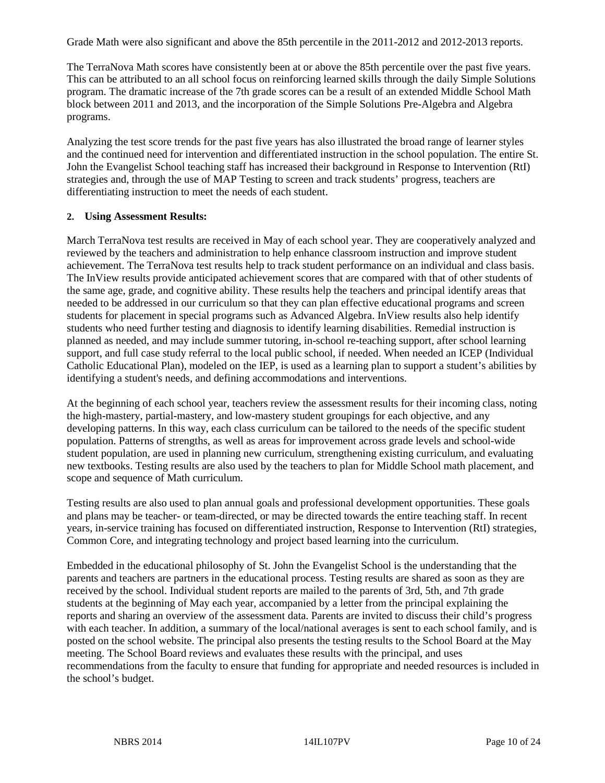Grade Math were also significant and above the 85th percentile in the 2011-2012 and 2012-2013 reports.

The TerraNova Math scores have consistently been at or above the 85th percentile over the past five years. This can be attributed to an all school focus on reinforcing learned skills through the daily Simple Solutions program. The dramatic increase of the 7th grade scores can be a result of an extended Middle School Math block between 2011 and 2013, and the incorporation of the Simple Solutions Pre-Algebra and Algebra programs.

Analyzing the test score trends for the past five years has also illustrated the broad range of learner styles and the continued need for intervention and differentiated instruction in the school population. The entire St. John the Evangelist School teaching staff has increased their background in Response to Intervention (RtI) strategies and, through the use of MAP Testing to screen and track students' progress, teachers are differentiating instruction to meet the needs of each student.

#### **2. Using Assessment Results:**

March TerraNova test results are received in May of each school year. They are cooperatively analyzed and reviewed by the teachers and administration to help enhance classroom instruction and improve student achievement. The TerraNova test results help to track student performance on an individual and class basis. The InView results provide anticipated achievement scores that are compared with that of other students of the same age, grade, and cognitive ability. These results help the teachers and principal identify areas that needed to be addressed in our curriculum so that they can plan effective educational programs and screen students for placement in special programs such as Advanced Algebra. InView results also help identify students who need further testing and diagnosis to identify learning disabilities. Remedial instruction is planned as needed, and may include summer tutoring, in-school re-teaching support, after school learning support, and full case study referral to the local public school, if needed. When needed an ICEP (Individual Catholic Educational Plan), modeled on the IEP, is used as a learning plan to support a student's abilities by identifying a student's needs, and defining accommodations and interventions.

At the beginning of each school year, teachers review the assessment results for their incoming class, noting the high-mastery, partial-mastery, and low-mastery student groupings for each objective, and any developing patterns. In this way, each class curriculum can be tailored to the needs of the specific student population. Patterns of strengths, as well as areas for improvement across grade levels and school-wide student population, are used in planning new curriculum, strengthening existing curriculum, and evaluating new textbooks. Testing results are also used by the teachers to plan for Middle School math placement, and scope and sequence of Math curriculum.

Testing results are also used to plan annual goals and professional development opportunities. These goals and plans may be teacher- or team-directed, or may be directed towards the entire teaching staff. In recent years, in-service training has focused on differentiated instruction, Response to Intervention (RtI) strategies, Common Core, and integrating technology and project based learning into the curriculum.

Embedded in the educational philosophy of St. John the Evangelist School is the understanding that the parents and teachers are partners in the educational process. Testing results are shared as soon as they are received by the school. Individual student reports are mailed to the parents of 3rd, 5th, and 7th grade students at the beginning of May each year, accompanied by a letter from the principal explaining the reports and sharing an overview of the assessment data. Parents are invited to discuss their child's progress with each teacher. In addition, a summary of the local/national averages is sent to each school family, and is posted on the school website. The principal also presents the testing results to the School Board at the May meeting. The School Board reviews and evaluates these results with the principal, and uses recommendations from the faculty to ensure that funding for appropriate and needed resources is included in the school's budget.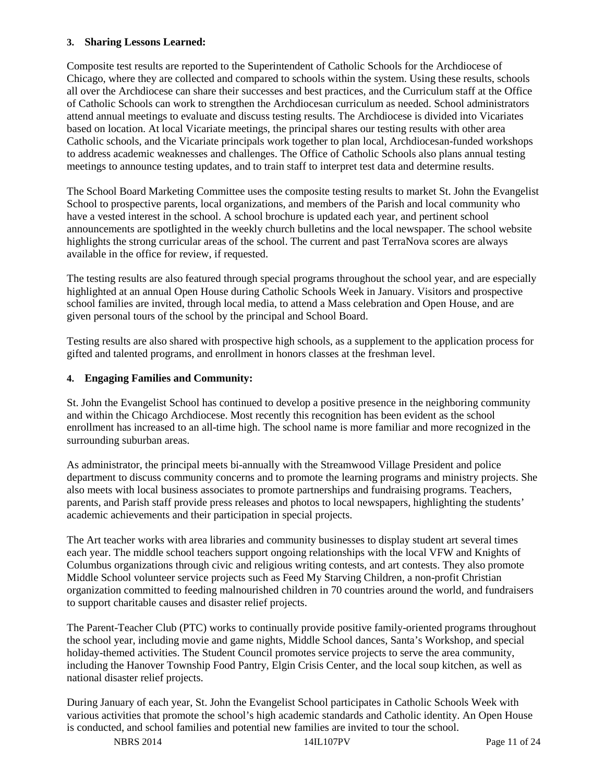#### **3. Sharing Lessons Learned:**

Composite test results are reported to the Superintendent of Catholic Schools for the Archdiocese of Chicago, where they are collected and compared to schools within the system. Using these results, schools all over the Archdiocese can share their successes and best practices, and the Curriculum staff at the Office of Catholic Schools can work to strengthen the Archdiocesan curriculum as needed. School administrators attend annual meetings to evaluate and discuss testing results. The Archdiocese is divided into Vicariates based on location. At local Vicariate meetings, the principal shares our testing results with other area Catholic schools, and the Vicariate principals work together to plan local, Archdiocesan-funded workshops to address academic weaknesses and challenges. The Office of Catholic Schools also plans annual testing meetings to announce testing updates, and to train staff to interpret test data and determine results.

The School Board Marketing Committee uses the composite testing results to market St. John the Evangelist School to prospective parents, local organizations, and members of the Parish and local community who have a vested interest in the school. A school brochure is updated each year, and pertinent school announcements are spotlighted in the weekly church bulletins and the local newspaper. The school website highlights the strong curricular areas of the school. The current and past TerraNova scores are always available in the office for review, if requested.

The testing results are also featured through special programs throughout the school year, and are especially highlighted at an annual Open House during Catholic Schools Week in January. Visitors and prospective school families are invited, through local media, to attend a Mass celebration and Open House, and are given personal tours of the school by the principal and School Board.

Testing results are also shared with prospective high schools, as a supplement to the application process for gifted and talented programs, and enrollment in honors classes at the freshman level.

#### **4. Engaging Families and Community:**

St. John the Evangelist School has continued to develop a positive presence in the neighboring community and within the Chicago Archdiocese. Most recently this recognition has been evident as the school enrollment has increased to an all-time high. The school name is more familiar and more recognized in the surrounding suburban areas.

As administrator, the principal meets bi-annually with the Streamwood Village President and police department to discuss community concerns and to promote the learning programs and ministry projects. She also meets with local business associates to promote partnerships and fundraising programs. Teachers, parents, and Parish staff provide press releases and photos to local newspapers, highlighting the students' academic achievements and their participation in special projects.

The Art teacher works with area libraries and community businesses to display student art several times each year. The middle school teachers support ongoing relationships with the local VFW and Knights of Columbus organizations through civic and religious writing contests, and art contests. They also promote Middle School volunteer service projects such as Feed My Starving Children, a non-profit Christian organization committed to feeding malnourished children in 70 countries around the world, and fundraisers to support charitable causes and disaster relief projects.

The Parent-Teacher Club (PTC) works to continually provide positive family-oriented programs throughout the school year, including movie and game nights, Middle School dances, Santa's Workshop, and special holiday-themed activities. The Student Council promotes service projects to serve the area community, including the Hanover Township Food Pantry, Elgin Crisis Center, and the local soup kitchen, as well as national disaster relief projects.

During January of each year, St. John the Evangelist School participates in Catholic Schools Week with various activities that promote the school's high academic standards and Catholic identity. An Open House is conducted, and school families and potential new families are invited to tour the school.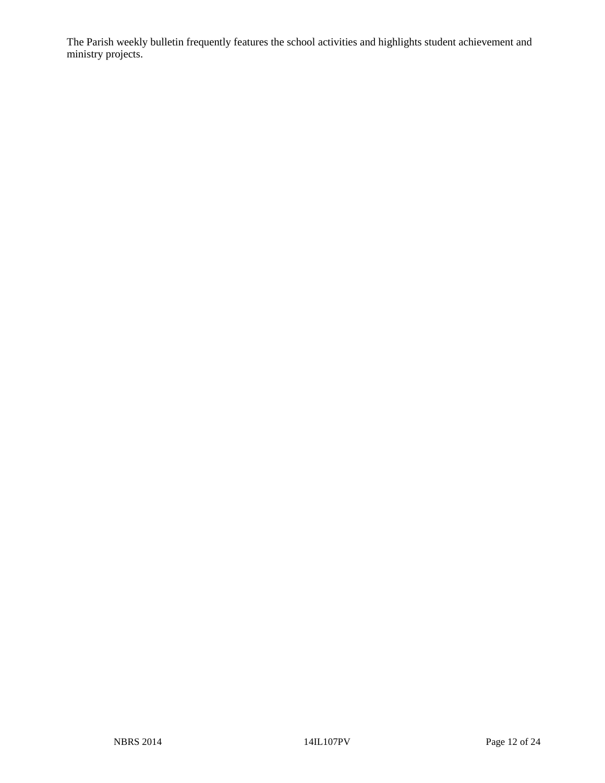The Parish weekly bulletin frequently features the school activities and highlights student achievement and ministry projects.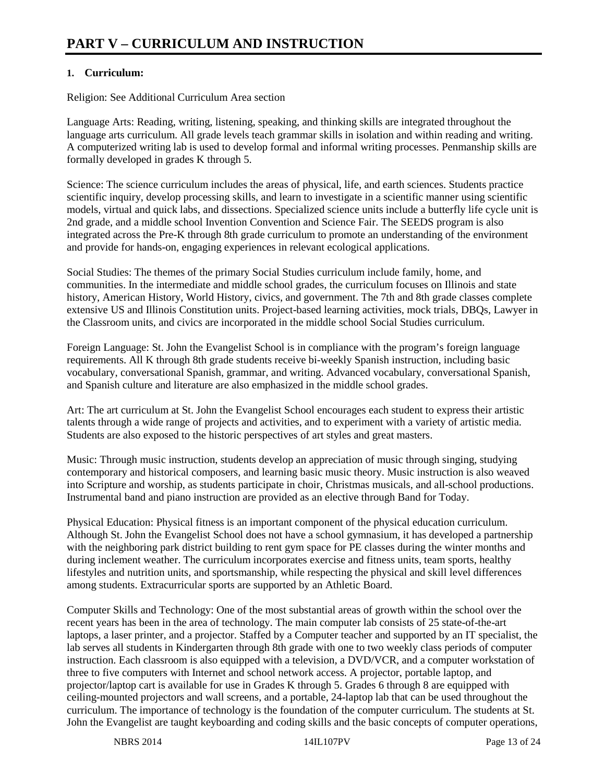## **1. Curriculum:**

Religion: See Additional Curriculum Area section

Language Arts: Reading, writing, listening, speaking, and thinking skills are integrated throughout the language arts curriculum. All grade levels teach grammar skills in isolation and within reading and writing. A computerized writing lab is used to develop formal and informal writing processes. Penmanship skills are formally developed in grades K through 5.

Science: The science curriculum includes the areas of physical, life, and earth sciences. Students practice scientific inquiry, develop processing skills, and learn to investigate in a scientific manner using scientific models, virtual and quick labs, and dissections. Specialized science units include a butterfly life cycle unit is 2nd grade, and a middle school Invention Convention and Science Fair. The SEEDS program is also integrated across the Pre-K through 8th grade curriculum to promote an understanding of the environment and provide for hands-on, engaging experiences in relevant ecological applications.

Social Studies: The themes of the primary Social Studies curriculum include family, home, and communities. In the intermediate and middle school grades, the curriculum focuses on Illinois and state history, American History, World History, civics, and government. The 7th and 8th grade classes complete extensive US and Illinois Constitution units. Project-based learning activities, mock trials, DBQs, Lawyer in the Classroom units, and civics are incorporated in the middle school Social Studies curriculum.

Foreign Language: St. John the Evangelist School is in compliance with the program's foreign language requirements. All K through 8th grade students receive bi-weekly Spanish instruction, including basic vocabulary, conversational Spanish, grammar, and writing. Advanced vocabulary, conversational Spanish, and Spanish culture and literature are also emphasized in the middle school grades.

Art: The art curriculum at St. John the Evangelist School encourages each student to express their artistic talents through a wide range of projects and activities, and to experiment with a variety of artistic media. Students are also exposed to the historic perspectives of art styles and great masters.

Music: Through music instruction, students develop an appreciation of music through singing, studying contemporary and historical composers, and learning basic music theory. Music instruction is also weaved into Scripture and worship, as students participate in choir, Christmas musicals, and all-school productions. Instrumental band and piano instruction are provided as an elective through Band for Today.

Physical Education: Physical fitness is an important component of the physical education curriculum. Although St. John the Evangelist School does not have a school gymnasium, it has developed a partnership with the neighboring park district building to rent gym space for PE classes during the winter months and during inclement weather. The curriculum incorporates exercise and fitness units, team sports, healthy lifestyles and nutrition units, and sportsmanship, while respecting the physical and skill level differences among students. Extracurricular sports are supported by an Athletic Board.

Computer Skills and Technology: One of the most substantial areas of growth within the school over the recent years has been in the area of technology. The main computer lab consists of 25 state-of-the-art laptops, a laser printer, and a projector. Staffed by a Computer teacher and supported by an IT specialist, the lab serves all students in Kindergarten through 8th grade with one to two weekly class periods of computer instruction. Each classroom is also equipped with a television, a DVD/VCR, and a computer workstation of three to five computers with Internet and school network access. A projector, portable laptop, and projector/laptop cart is available for use in Grades K through 5. Grades 6 through 8 are equipped with ceiling-mounted projectors and wall screens, and a portable, 24-laptop lab that can be used throughout the curriculum. The importance of technology is the foundation of the computer curriculum. The students at St. John the Evangelist are taught keyboarding and coding skills and the basic concepts of computer operations,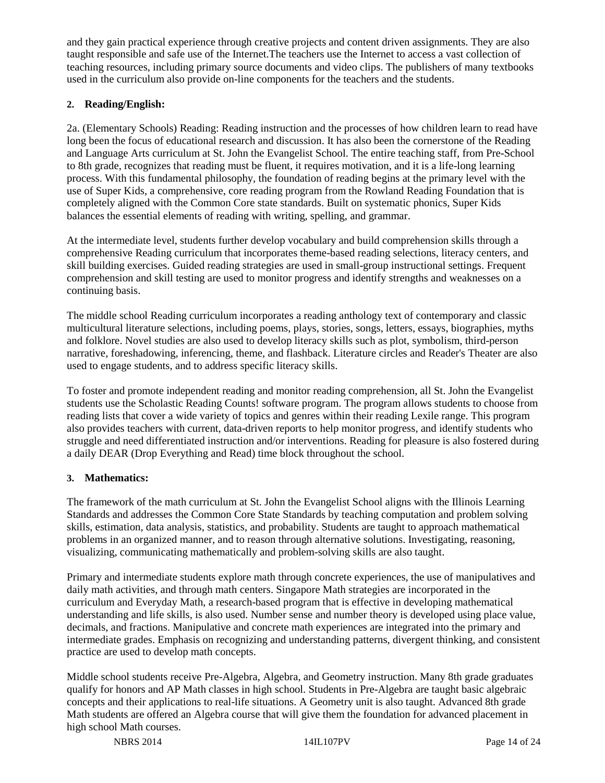and they gain practical experience through creative projects and content driven assignments. They are also taught responsible and safe use of the Internet.The teachers use the Internet to access a vast collection of teaching resources, including primary source documents and video clips. The publishers of many textbooks used in the curriculum also provide on-line components for the teachers and the students.

## **2. Reading/English:**

2a. (Elementary Schools) Reading: Reading instruction and the processes of how children learn to read have long been the focus of educational research and discussion. It has also been the cornerstone of the Reading and Language Arts curriculum at St. John the Evangelist School. The entire teaching staff, from Pre-School to 8th grade, recognizes that reading must be fluent, it requires motivation, and it is a life-long learning process. With this fundamental philosophy, the foundation of reading begins at the primary level with the use of Super Kids, a comprehensive, core reading program from the Rowland Reading Foundation that is completely aligned with the Common Core state standards. Built on systematic phonics, Super Kids balances the essential elements of reading with writing, spelling, and grammar.

At the intermediate level, students further develop vocabulary and build comprehension skills through a comprehensive Reading curriculum that incorporates theme-based reading selections, literacy centers, and skill building exercises. Guided reading strategies are used in small-group instructional settings. Frequent comprehension and skill testing are used to monitor progress and identify strengths and weaknesses on a continuing basis.

The middle school Reading curriculum incorporates a reading anthology text of contemporary and classic multicultural literature selections, including poems, plays, stories, songs, letters, essays, biographies, myths and folklore. Novel studies are also used to develop literacy skills such as plot, symbolism, third-person narrative, foreshadowing, inferencing, theme, and flashback. Literature circles and Reader's Theater are also used to engage students, and to address specific literacy skills.

To foster and promote independent reading and monitor reading comprehension, all St. John the Evangelist students use the Scholastic Reading Counts! software program. The program allows students to choose from reading lists that cover a wide variety of topics and genres within their reading Lexile range. This program also provides teachers with current, data-driven reports to help monitor progress, and identify students who struggle and need differentiated instruction and/or interventions. Reading for pleasure is also fostered during a daily DEAR (Drop Everything and Read) time block throughout the school.

## **3. Mathematics:**

The framework of the math curriculum at St. John the Evangelist School aligns with the Illinois Learning Standards and addresses the Common Core State Standards by teaching computation and problem solving skills, estimation, data analysis, statistics, and probability. Students are taught to approach mathematical problems in an organized manner, and to reason through alternative solutions. Investigating, reasoning, visualizing, communicating mathematically and problem-solving skills are also taught.

Primary and intermediate students explore math through concrete experiences, the use of manipulatives and daily math activities, and through math centers. Singapore Math strategies are incorporated in the curriculum and Everyday Math, a research-based program that is effective in developing mathematical understanding and life skills, is also used. Number sense and number theory is developed using place value, decimals, and fractions. Manipulative and concrete math experiences are integrated into the primary and intermediate grades. Emphasis on recognizing and understanding patterns, divergent thinking, and consistent practice are used to develop math concepts.

Middle school students receive Pre-Algebra, Algebra, and Geometry instruction. Many 8th grade graduates qualify for honors and AP Math classes in high school. Students in Pre-Algebra are taught basic algebraic concepts and their applications to real-life situations. A Geometry unit is also taught. Advanced 8th grade Math students are offered an Algebra course that will give them the foundation for advanced placement in high school Math courses.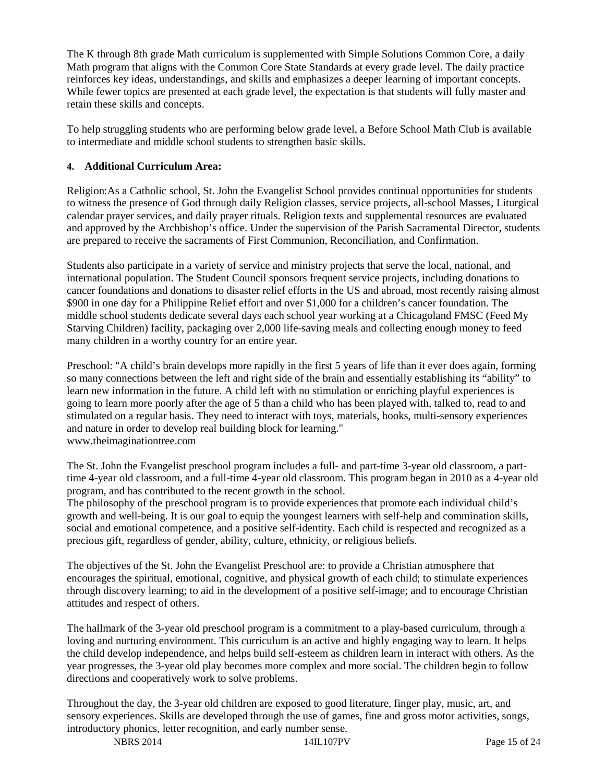The K through 8th grade Math curriculum is supplemented with Simple Solutions Common Core, a daily Math program that aligns with the Common Core State Standards at every grade level. The daily practice reinforces key ideas, understandings, and skills and emphasizes a deeper learning of important concepts. While fewer topics are presented at each grade level, the expectation is that students will fully master and retain these skills and concepts.

To help struggling students who are performing below grade level, a Before School Math Club is available to intermediate and middle school students to strengthen basic skills.

#### **4. Additional Curriculum Area:**

Religion:As a Catholic school, St. John the Evangelist School provides continual opportunities for students to witness the presence of God through daily Religion classes, service projects, all-school Masses, Liturgical calendar prayer services, and daily prayer rituals. Religion texts and supplemental resources are evaluated and approved by the Archbishop's office. Under the supervision of the Parish Sacramental Director, students are prepared to receive the sacraments of First Communion, Reconciliation, and Confirmation.

Students also participate in a variety of service and ministry projects that serve the local, national, and international population. The Student Council sponsors frequent service projects, including donations to cancer foundations and donations to disaster relief efforts in the US and abroad, most recently raising almost \$900 in one day for a Philippine Relief effort and over \$1,000 for a children's cancer foundation. The middle school students dedicate several days each school year working at a Chicagoland FMSC (Feed My Starving Children) facility, packaging over 2,000 life-saving meals and collecting enough money to feed many children in a worthy country for an entire year.

Preschool: "A child's brain develops more rapidly in the first 5 years of life than it ever does again, forming so many connections between the left and right side of the brain and essentially establishing its "ability" to learn new information in the future. A child left with no stimulation or enriching playful experiences is going to learn more poorly after the age of 5 than a child who has been played with, talked to, read to and stimulated on a regular basis. They need to interact with toys, materials, books, multi-sensory experiences and nature in order to develop real building block for learning." www.theimaginationtree.com

The St. John the Evangelist preschool program includes a full- and part-time 3-year old classroom, a parttime 4-year old classroom, and a full-time 4-year old classroom. This program began in 2010 as a 4-year old program, and has contributed to the recent growth in the school.

The philosophy of the preschool program is to provide experiences that promote each individual child's growth and well-being. It is our goal to equip the youngest learners with self-help and commination skills, social and emotional competence, and a positive self-identity. Each child is respected and recognized as a precious gift, regardless of gender, ability, culture, ethnicity, or religious beliefs.

The objectives of the St. John the Evangelist Preschool are: to provide a Christian atmosphere that encourages the spiritual, emotional, cognitive, and physical growth of each child; to stimulate experiences through discovery learning; to aid in the development of a positive self-image; and to encourage Christian attitudes and respect of others.

The hallmark of the 3-year old preschool program is a commitment to a play-based curriculum, through a loving and nurturing environment. This curriculum is an active and highly engaging way to learn. It helps the child develop independence, and helps build self-esteem as children learn in interact with others. As the year progresses, the 3-year old play becomes more complex and more social. The children begin to follow directions and cooperatively work to solve problems.

Throughout the day, the 3-year old children are exposed to good literature, finger play, music, art, and sensory experiences. Skills are developed through the use of games, fine and gross motor activities, songs, introductory phonics, letter recognition, and early number sense.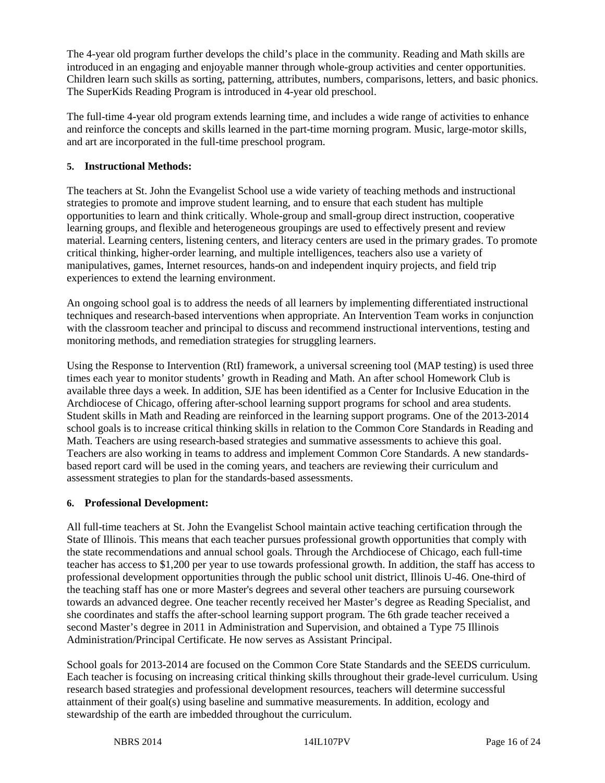The 4-year old program further develops the child's place in the community. Reading and Math skills are introduced in an engaging and enjoyable manner through whole-group activities and center opportunities. Children learn such skills as sorting, patterning, attributes, numbers, comparisons, letters, and basic phonics. The SuperKids Reading Program is introduced in 4-year old preschool.

The full-time 4-year old program extends learning time, and includes a wide range of activities to enhance and reinforce the concepts and skills learned in the part-time morning program. Music, large-motor skills, and art are incorporated in the full-time preschool program.

#### **5. Instructional Methods:**

The teachers at St. John the Evangelist School use a wide variety of teaching methods and instructional strategies to promote and improve student learning, and to ensure that each student has multiple opportunities to learn and think critically. Whole-group and small-group direct instruction, cooperative learning groups, and flexible and heterogeneous groupings are used to effectively present and review material. Learning centers, listening centers, and literacy centers are used in the primary grades. To promote critical thinking, higher-order learning, and multiple intelligences, teachers also use a variety of manipulatives, games, Internet resources, hands-on and independent inquiry projects, and field trip experiences to extend the learning environment.

An ongoing school goal is to address the needs of all learners by implementing differentiated instructional techniques and research-based interventions when appropriate. An Intervention Team works in conjunction with the classroom teacher and principal to discuss and recommend instructional interventions, testing and monitoring methods, and remediation strategies for struggling learners.

Using the Response to Intervention (RtI) framework, a universal screening tool (MAP testing) is used three times each year to monitor students' growth in Reading and Math. An after school Homework Club is available three days a week. In addition, SJE has been identified as a Center for Inclusive Education in the Archdiocese of Chicago, offering after-school learning support programs for school and area students. Student skills in Math and Reading are reinforced in the learning support programs. One of the 2013-2014 school goals is to increase critical thinking skills in relation to the Common Core Standards in Reading and Math. Teachers are using research-based strategies and summative assessments to achieve this goal. Teachers are also working in teams to address and implement Common Core Standards. A new standardsbased report card will be used in the coming years, and teachers are reviewing their curriculum and assessment strategies to plan for the standards-based assessments.

#### **6. Professional Development:**

All full-time teachers at St. John the Evangelist School maintain active teaching certification through the State of Illinois. This means that each teacher pursues professional growth opportunities that comply with the state recommendations and annual school goals. Through the Archdiocese of Chicago, each full-time teacher has access to \$1,200 per year to use towards professional growth. In addition, the staff has access to professional development opportunities through the public school unit district, Illinois U-46. One-third of the teaching staff has one or more Master's degrees and several other teachers are pursuing coursework towards an advanced degree. One teacher recently received her Master's degree as Reading Specialist, and she coordinates and staffs the after-school learning support program. The 6th grade teacher received a second Master's degree in 2011 in Administration and Supervision, and obtained a Type 75 Illinois Administration/Principal Certificate. He now serves as Assistant Principal.

School goals for 2013-2014 are focused on the Common Core State Standards and the SEEDS curriculum. Each teacher is focusing on increasing critical thinking skills throughout their grade-level curriculum. Using research based strategies and professional development resources, teachers will determine successful attainment of their goal(s) using baseline and summative measurements. In addition, ecology and stewardship of the earth are imbedded throughout the curriculum.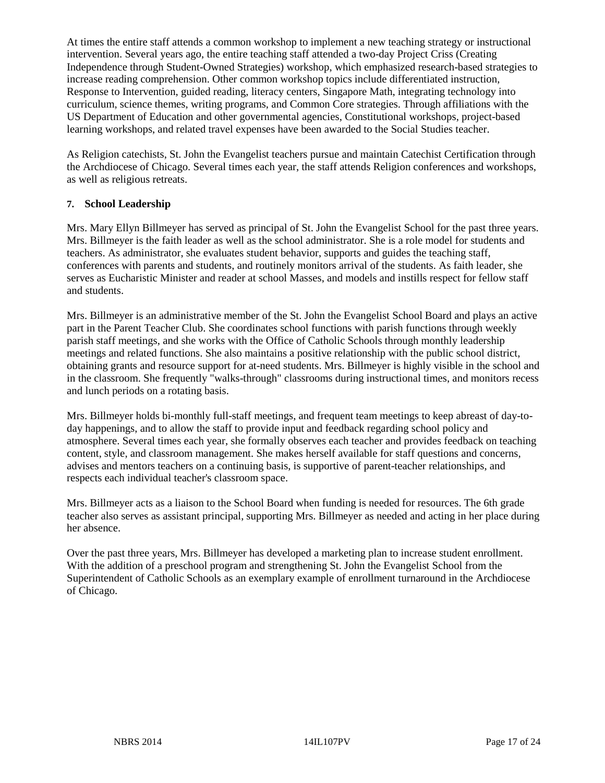At times the entire staff attends a common workshop to implement a new teaching strategy or instructional intervention. Several years ago, the entire teaching staff attended a two-day Project Criss (Creating Independence through Student-Owned Strategies) workshop, which emphasized research-based strategies to increase reading comprehension. Other common workshop topics include differentiated instruction, Response to Intervention, guided reading, literacy centers, Singapore Math, integrating technology into curriculum, science themes, writing programs, and Common Core strategies. Through affiliations with the US Department of Education and other governmental agencies, Constitutional workshops, project-based learning workshops, and related travel expenses have been awarded to the Social Studies teacher.

As Religion catechists, St. John the Evangelist teachers pursue and maintain Catechist Certification through the Archdiocese of Chicago. Several times each year, the staff attends Religion conferences and workshops, as well as religious retreats.

## **7. School Leadership**

Mrs. Mary Ellyn Billmeyer has served as principal of St. John the Evangelist School for the past three years. Mrs. Billmeyer is the faith leader as well as the school administrator. She is a role model for students and teachers. As administrator, she evaluates student behavior, supports and guides the teaching staff, conferences with parents and students, and routinely monitors arrival of the students. As faith leader, she serves as Eucharistic Minister and reader at school Masses, and models and instills respect for fellow staff and students.

Mrs. Billmeyer is an administrative member of the St. John the Evangelist School Board and plays an active part in the Parent Teacher Club. She coordinates school functions with parish functions through weekly parish staff meetings, and she works with the Office of Catholic Schools through monthly leadership meetings and related functions. She also maintains a positive relationship with the public school district, obtaining grants and resource support for at-need students. Mrs. Billmeyer is highly visible in the school and in the classroom. She frequently "walks-through" classrooms during instructional times, and monitors recess and lunch periods on a rotating basis.

Mrs. Billmeyer holds bi-monthly full-staff meetings, and frequent team meetings to keep abreast of day-today happenings, and to allow the staff to provide input and feedback regarding school policy and atmosphere. Several times each year, she formally observes each teacher and provides feedback on teaching content, style, and classroom management. She makes herself available for staff questions and concerns, advises and mentors teachers on a continuing basis, is supportive of parent-teacher relationships, and respects each individual teacher's classroom space.

Mrs. Billmeyer acts as a liaison to the School Board when funding is needed for resources. The 6th grade teacher also serves as assistant principal, supporting Mrs. Billmeyer as needed and acting in her place during her absence.

Over the past three years, Mrs. Billmeyer has developed a marketing plan to increase student enrollment. With the addition of a preschool program and strengthening St. John the Evangelist School from the Superintendent of Catholic Schools as an exemplary example of enrollment turnaround in the Archdiocese of Chicago.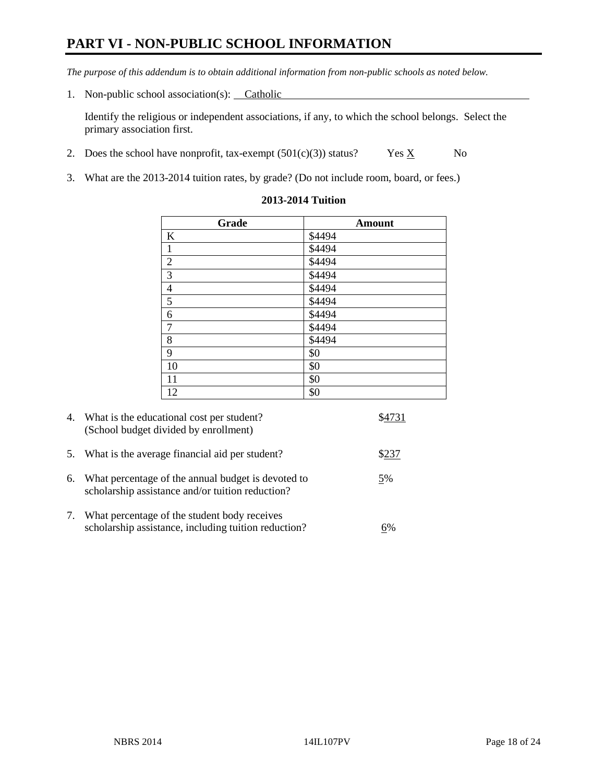# **PART VI - NON-PUBLIC SCHOOL INFORMATION**

*The purpose of this addendum is to obtain additional information from non-public schools as noted below.* 

1. Non-public school association(s): Catholic

Identify the religious or independent associations, if any, to which the school belongs. Select the primary association first.

- 2. Does the school have nonprofit, tax-exempt  $(501(c)(3))$  status? Yes  $\underline{X}$  No
- 3. What are the 2013-2014 tuition rates, by grade? (Do not include room, board, or fees.)

| Grade                   | <b>Amount</b> |
|-------------------------|---------------|
| $\bf K$                 | \$4494        |
| $\,1\,$                 | \$4494        |
| $\overline{2}$          | \$4494        |
| $\overline{\mathbf{3}}$ | \$4494        |
| $\frac{4}{5}$           | \$4494        |
|                         | \$4494        |
| $\boldsymbol{6}$        | \$4494        |
| $\overline{7}$          | \$4494        |
| $\,8\,$                 | \$4494        |
| $\overline{9}$          | \$0           |
| 10                      | \$0           |
| 11                      | \$0           |
| 12                      | \$0           |

#### **2013-2014 Tuition**

| 4.         | What is the educational cost per student?<br>(School budget divided by enrollment)                     |    |
|------------|--------------------------------------------------------------------------------------------------------|----|
| 5.         | What is the average financial aid per student?                                                         |    |
| 6.         | What percentage of the annual budget is devoted to<br>scholarship assistance and/or tuition reduction? | 5% |
| $\gamma$ . | What percentage of the student body receives<br>scholarship assistance, including tuition reduction?   | 6% |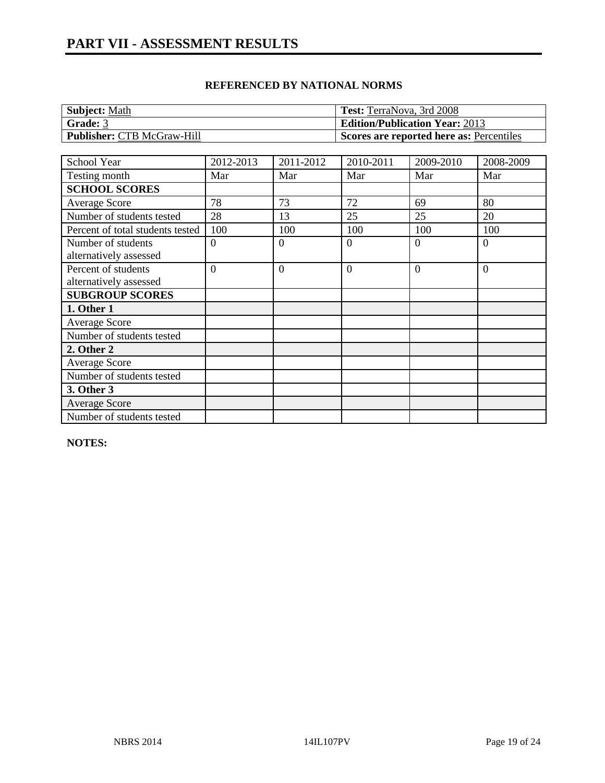| Subject: Math                     | Test: TerraNova, 3rd 2008                             |
|-----------------------------------|-------------------------------------------------------|
| Grade: 3                          | <b>Edition/Publication Year: 2013</b>                 |
| <b>Publisher: CTB McGraw-Hill</b> | <sup>1</sup> Scores are reported here as: Percentiles |

| School Year                      | 2012-2013      | 2011-2012      | 2010-2011      | 2009-2010 | 2008-2009      |
|----------------------------------|----------------|----------------|----------------|-----------|----------------|
| Testing month                    | Mar            | Mar            | Mar            | Mar       | Mar            |
| <b>SCHOOL SCORES</b>             |                |                |                |           |                |
| <b>Average Score</b>             | 78             | 73             | 72             | 69        | 80             |
| Number of students tested        | 28             | 13             | 25             | 25        | 20             |
| Percent of total students tested | 100            | 100            | 100            | 100       | 100            |
| Number of students               | $\overline{0}$ | $\Omega$       | $\overline{0}$ | $\Omega$  | $\theta$       |
| alternatively assessed           |                |                |                |           |                |
| Percent of students              | $\theta$       | $\overline{0}$ | $\overline{0}$ | $\Omega$  | $\overline{0}$ |
| alternatively assessed           |                |                |                |           |                |
| <b>SUBGROUP SCORES</b>           |                |                |                |           |                |
| 1. Other 1                       |                |                |                |           |                |
| <b>Average Score</b>             |                |                |                |           |                |
| Number of students tested        |                |                |                |           |                |
| 2. Other 2                       |                |                |                |           |                |
| <b>Average Score</b>             |                |                |                |           |                |
| Number of students tested        |                |                |                |           |                |
| 3. Other 3                       |                |                |                |           |                |
| <b>Average Score</b>             |                |                |                |           |                |
| Number of students tested        |                |                |                |           |                |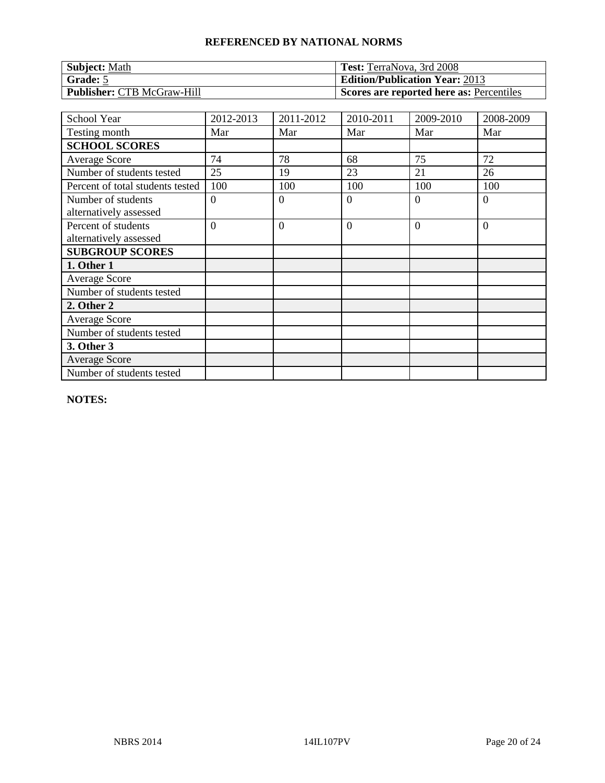| <b>Subject: Math</b>              | <b>Test:</b> TerraNova, 3rd 2008         |
|-----------------------------------|------------------------------------------|
| Grade: 5                          | <b>Edition/Publication Year: 2013</b>    |
| <b>Publisher: CTB McGraw-Hill</b> | Scores are reported here as: Percentiles |

| <b>School Year</b>               | 2012-2013      | 2011-2012      | 2010-2011      | 2009-2010 | 2008-2009      |
|----------------------------------|----------------|----------------|----------------|-----------|----------------|
| Testing month                    | Mar            | Mar            | Mar            | Mar       | Mar            |
| <b>SCHOOL SCORES</b>             |                |                |                |           |                |
| <b>Average Score</b>             | 74             | 78             | 68             | 75        | 72             |
| Number of students tested        | 25             | 19             | 23             | 21        | 26             |
| Percent of total students tested | 100            | 100            | 100            | 100       | 100            |
| Number of students               | $\overline{0}$ | $\overline{0}$ | $\overline{0}$ | $\Omega$  | $\overline{0}$ |
| alternatively assessed           |                |                |                |           |                |
| Percent of students              | $\overline{0}$ | $\overline{0}$ | $\overline{0}$ | $\Omega$  | $\overline{0}$ |
| alternatively assessed           |                |                |                |           |                |
| <b>SUBGROUP SCORES</b>           |                |                |                |           |                |
| 1. Other 1                       |                |                |                |           |                |
| <b>Average Score</b>             |                |                |                |           |                |
| Number of students tested        |                |                |                |           |                |
| 2. Other 2                       |                |                |                |           |                |
| <b>Average Score</b>             |                |                |                |           |                |
| Number of students tested        |                |                |                |           |                |
| 3. Other 3                       |                |                |                |           |                |
| <b>Average Score</b>             |                |                |                |           |                |
| Number of students tested        |                |                |                |           |                |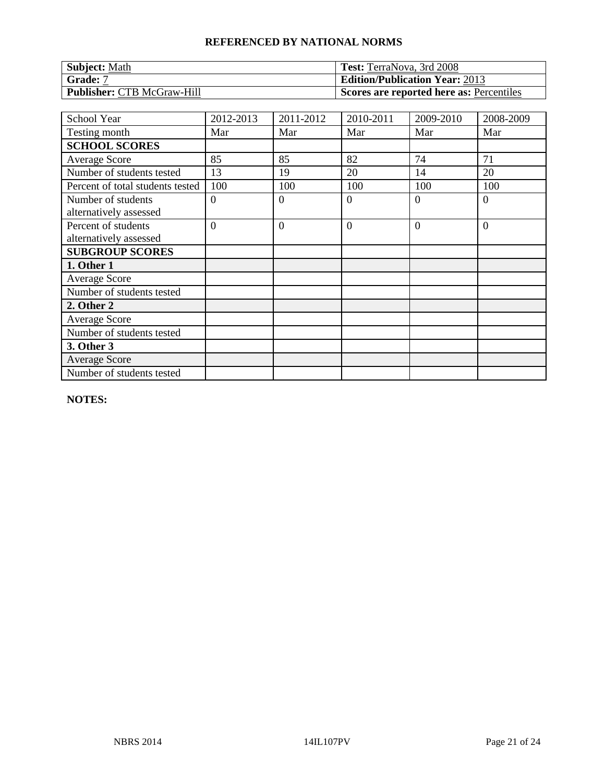| <b>Subject: Math</b>              | <b>Test:</b> TerraNova, 3rd 2008         |
|-----------------------------------|------------------------------------------|
| Grade: 7                          | <b>Edition/Publication Year: 2013</b>    |
| <b>Publisher: CTB McGraw-Hill</b> | Scores are reported here as: Percentiles |

| <b>School Year</b>               | 2012-2013      | 2011-2012      | 2010-2011      | 2009-2010 | 2008-2009      |
|----------------------------------|----------------|----------------|----------------|-----------|----------------|
| Testing month                    | Mar            | Mar            | Mar            | Mar       | Mar            |
| <b>SCHOOL SCORES</b>             |                |                |                |           |                |
| <b>Average Score</b>             | 85             | 85             | 82             | 74        | 71             |
| Number of students tested        | 13             | 19             | 20             | 14        | 20             |
| Percent of total students tested | 100            | 100            | 100            | 100       | 100            |
| Number of students               | $\overline{0}$ | $\overline{0}$ | $\overline{0}$ | $\Omega$  | $\overline{0}$ |
| alternatively assessed           |                |                |                |           |                |
| Percent of students              | $\overline{0}$ | $\overline{0}$ | $\overline{0}$ | $\Omega$  | $\overline{0}$ |
| alternatively assessed           |                |                |                |           |                |
| <b>SUBGROUP SCORES</b>           |                |                |                |           |                |
| 1. Other 1                       |                |                |                |           |                |
| <b>Average Score</b>             |                |                |                |           |                |
| Number of students tested        |                |                |                |           |                |
| 2. Other 2                       |                |                |                |           |                |
| <b>Average Score</b>             |                |                |                |           |                |
| Number of students tested        |                |                |                |           |                |
| 3. Other 3                       |                |                |                |           |                |
| <b>Average Score</b>             |                |                |                |           |                |
| Number of students tested        |                |                |                |           |                |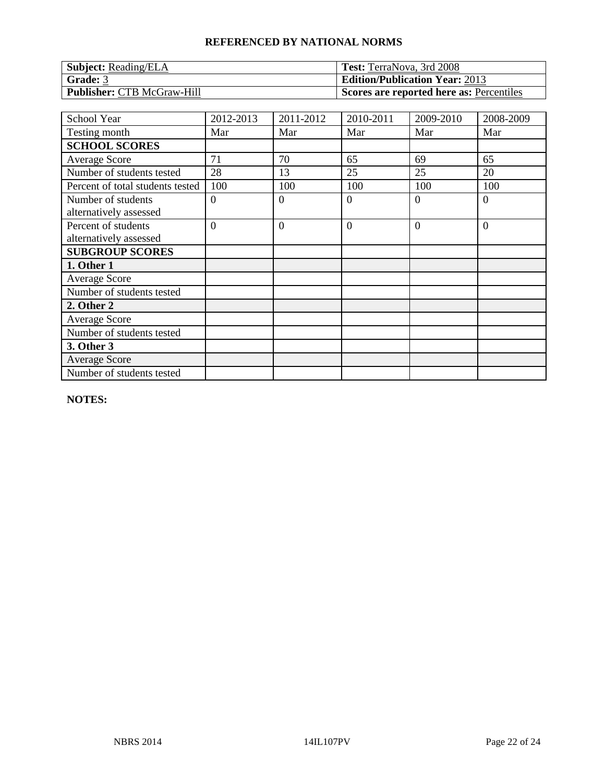| <b>Subject:</b> Reading/ELA       | <b>Test:</b> TerraNova, 3rd 2008         |
|-----------------------------------|------------------------------------------|
| Grade: 3                          | <b>Edition/Publication Year: 2013</b>    |
| <b>Publisher: CTB McGraw-Hill</b> | Scores are reported here as: Percentiles |

| School Year                                   | 2012-2013      | 2011-2012      | 2010-2011      | 2009-2010 | 2008-2009      |
|-----------------------------------------------|----------------|----------------|----------------|-----------|----------------|
| Testing month                                 | Mar            | Mar            | Mar            | Mar       | Mar            |
| <b>SCHOOL SCORES</b>                          |                |                |                |           |                |
| <b>Average Score</b>                          | 71             | 70             | 65             | 69        | 65             |
| Number of students tested                     | 28             | 13             | 25             | 25        | 20             |
| Percent of total students tested              | 100            | 100            | 100            | 100       | 100            |
| Number of students<br>alternatively assessed  | $\Omega$       | $\overline{0}$ | $\overline{0}$ | $\Omega$  | $\overline{0}$ |
| Percent of students<br>alternatively assessed | $\overline{0}$ | $\overline{0}$ | $\overline{0}$ | $\Omega$  | $\overline{0}$ |
| <b>SUBGROUP SCORES</b>                        |                |                |                |           |                |
| 1. Other 1                                    |                |                |                |           |                |
| <b>Average Score</b>                          |                |                |                |           |                |
| Number of students tested                     |                |                |                |           |                |
| 2. Other 2                                    |                |                |                |           |                |
| <b>Average Score</b>                          |                |                |                |           |                |
| Number of students tested                     |                |                |                |           |                |
| 3. Other 3                                    |                |                |                |           |                |
| <b>Average Score</b>                          |                |                |                |           |                |
| Number of students tested                     |                |                |                |           |                |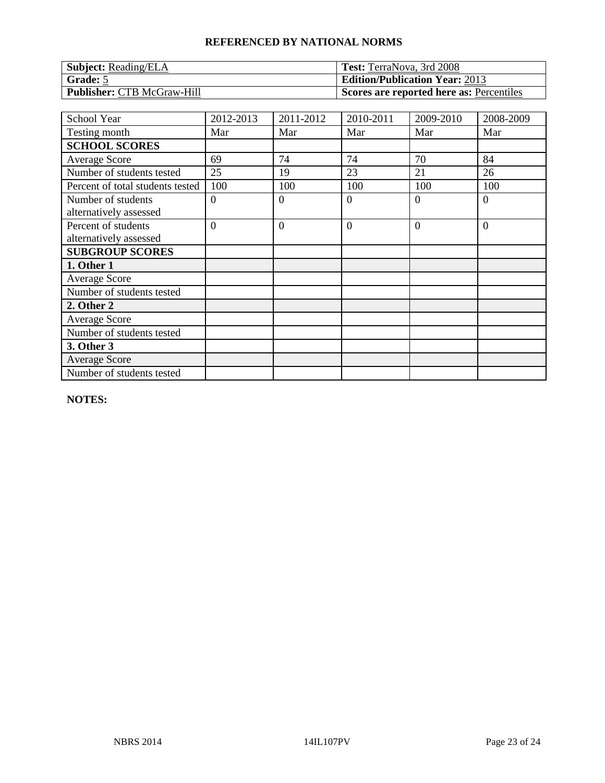| <b>Subject:</b> Reading/ELA       | <b>Test:</b> TerraNova, 3rd 2008         |
|-----------------------------------|------------------------------------------|
| Grade: 5                          | <b>Edition/Publication Year: 2013</b>    |
| <b>Publisher: CTB McGraw-Hill</b> | Scores are reported here as: Percentiles |

| School Year                                   | 2012-2013      | 2011-2012      | 2010-2011      | 2009-2010 | 2008-2009      |
|-----------------------------------------------|----------------|----------------|----------------|-----------|----------------|
| Testing month                                 | Mar            | Mar            | Mar            | Mar       | Mar            |
| <b>SCHOOL SCORES</b>                          |                |                |                |           |                |
| <b>Average Score</b>                          | 69             | 74             | 74             | 70        | 84             |
| Number of students tested                     | 25             | 19             | 23             | 21        | 26             |
| Percent of total students tested              | 100            | 100            | 100            | 100       | 100            |
| Number of students<br>alternatively assessed  | $\theta$       | $\overline{0}$ | $\overline{0}$ | $\Omega$  | $\overline{0}$ |
| Percent of students<br>alternatively assessed | $\overline{0}$ | $\overline{0}$ | $\overline{0}$ | $\Omega$  | $\overline{0}$ |
| <b>SUBGROUP SCORES</b>                        |                |                |                |           |                |
| 1. Other 1                                    |                |                |                |           |                |
| <b>Average Score</b>                          |                |                |                |           |                |
| Number of students tested                     |                |                |                |           |                |
| 2. Other 2                                    |                |                |                |           |                |
| <b>Average Score</b>                          |                |                |                |           |                |
| Number of students tested                     |                |                |                |           |                |
| 3. Other 3                                    |                |                |                |           |                |
| <b>Average Score</b>                          |                |                |                |           |                |
| Number of students tested                     |                |                |                |           |                |